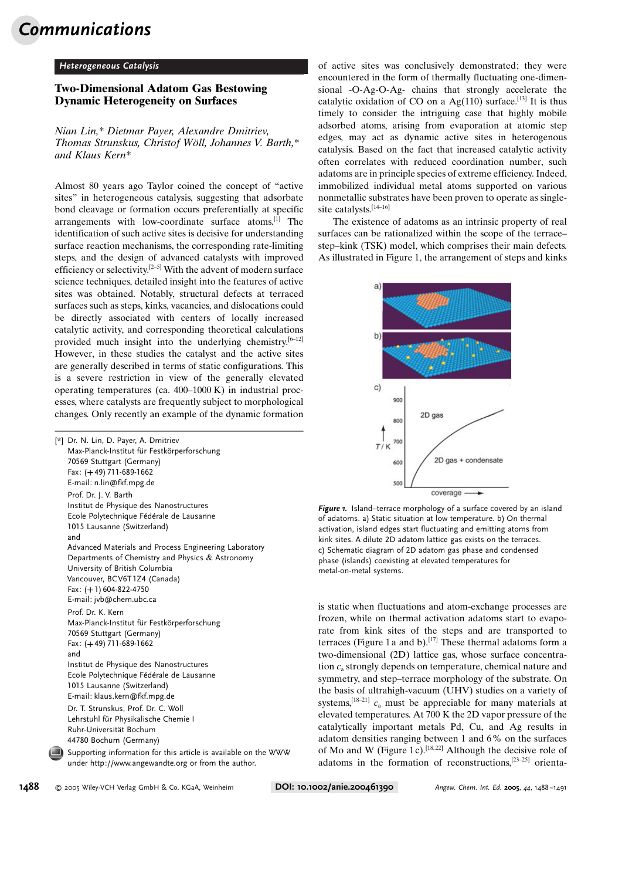## Communications

## Heterogeneous Catalysis

## Two-Dimensional Adatom Gas Bestowing Dynamic Heterogeneity on Surfaces

Nian Lin,\* Dietmar Payer, Alexandre Dmitriev, Thomas Strunskus, Christof Wöll, Johannes V. Barth,\* and Klaus Kern\*

Almost 80 years ago Taylor coined the concept of "active sites" in heterogeneous catalysis, suggesting that adsorbate bond cleavage or formation occurs preferentially at specific arrangements with low-coordinate surface atoms.[1] The identification of such active sites is decisive for understanding surface reaction mechanisms, the corresponding rate-limiting steps, and the design of advanced catalysts with improved efficiency or selectivity.<sup>[2–5]</sup> With the advent of modern surface science techniques, detailed insight into the features of active sites was obtained. Notably, structural defects at terraced surfaces such as steps, kinks, vacancies, and dislocations could be directly associated with centers of locally increased catalytic activity, and corresponding theoretical calculations provided much insight into the underlying chemistry.<sup>[6-12]</sup> However, in these studies the catalyst and the active sites are generally described in terms of static configurations. This is a severe restriction in view of the generally elevated operating temperatures (ca. 400–1000 K) in industrial processes, where catalysts are frequently subject to morphological changes. Only recently an example of the dynamic formation

| [*] Dr. N. Lin, D. Payer, A. Dmitriev<br>Max-Planck-Institut für Festkörperforschung<br>70569 Stuttgart (Germany)<br>Fax: (+49) 711-689-1662<br>E-mail: n.lin@fkf.mpg.de                                                                                                               |
|----------------------------------------------------------------------------------------------------------------------------------------------------------------------------------------------------------------------------------------------------------------------------------------|
| Prof. Dr. J. V. Barth<br>Institut de Physique des Nanostructures<br>Ecole Polytechnique Fédérale de Lausanne<br>1015 Lausanne (Switzerland)<br>and                                                                                                                                     |
| Advanced Materials and Process Engineering Laboratory<br>Departments of Chemistry and Physics $&$ Astronomy<br>University of British Columbia<br>Vancouver, BCV6T1Z4 (Canada)<br>Fax: (+1) 604-822-4750<br>E-mail: jvb@chem.ubc.ca                                                     |
| Prof. Dr. K. Kern<br>Max-Planck-Institut für Festkörperforschung<br>70569 Stuttgart (Germany)<br>Fax: (+49) 711-689-1662<br>and<br>Institut de Physique des Nanostructures<br>Ecole Polytechnique Fédérale de Lausanne<br>1015 Lausanne (Switzerland)<br>E-mail: klaus.kern@fkf.mpg.de |
| Dr. T. Strunskus, Prof. Dr. C. Wöll<br>Lehrstuhl für Physikalische Chemie I<br>Ruhr-Universität Bochum<br>44780 Bochum (Germany)                                                                                                                                                       |
| Supporting information for this article is available on the WWW<br>under http://www.angewandte.org or from the author.                                                                                                                                                                 |

of active sites was conclusively demonstrated; they were encountered in the form of thermally fluctuating one-dimensional -O-Ag-O-Ag- chains that strongly accelerate the catalytic oxidation of CO on a  $Ag(110)$  surface.<sup>[13]</sup> It is thus timely to consider the intriguing case that highly mobile adsorbed atoms, arising from evaporation at atomic step edges, may act as dynamic active sites in heterogenous catalysis. Based on the fact that increased catalytic activity often correlates with reduced coordination number, such adatoms are in principle species of extreme efficiency. Indeed, immobilized individual metal atoms supported on various nonmetallic substrates have been proven to operate as singlesite catalysts.[14–16]

The existence of adatoms as an intrinsic property of real surfaces can be rationalized within the scope of the terrace– step–kink (TSK) model, which comprises their main defects. As illustrated in Figure 1, the arrangement of steps and kinks



Figure 1. Island-terrace morphology of a surface covered by an island of adatoms. a) Static situation at low temperature. b) On thermal activation, island edges start fluctuating and emitting atoms from kink sites. A dilute 2D adatom lattice gas exists on the terraces. c) Schematic diagram of 2D adatom gas phase and condensed phase (islands) coexisting at elevated temperatures for metal-on-metal systems.

is static when fluctuations and atom-exchange processes are frozen, while on thermal activation adatoms start to evaporate from kink sites of the steps and are transported to terraces (Figure 1 a and b).<sup>[17]</sup> These thermal adatoms form a two-dimensional (2D) lattice gas, whose surface concentration  $c_a$  strongly depends on temperature, chemical nature and symmetry, and step–terrace morphology of the substrate. On the basis of ultrahigh-vacuum (UHV) studies on a variety of systems,<sup>[18–21]</sup>  $c_a$  must be appreciable for many materials at elevated temperatures. At 700 K the 2D vapor pressure of the catalytically important metals Pd, Cu, and Ag results in adatom densities ranging between 1 and 6% on the surfaces of Mo and W (Figure 1c).<sup>[18,22]</sup> Although the decisive role of adatoms in the formation of reconstructions,[23–25] orienta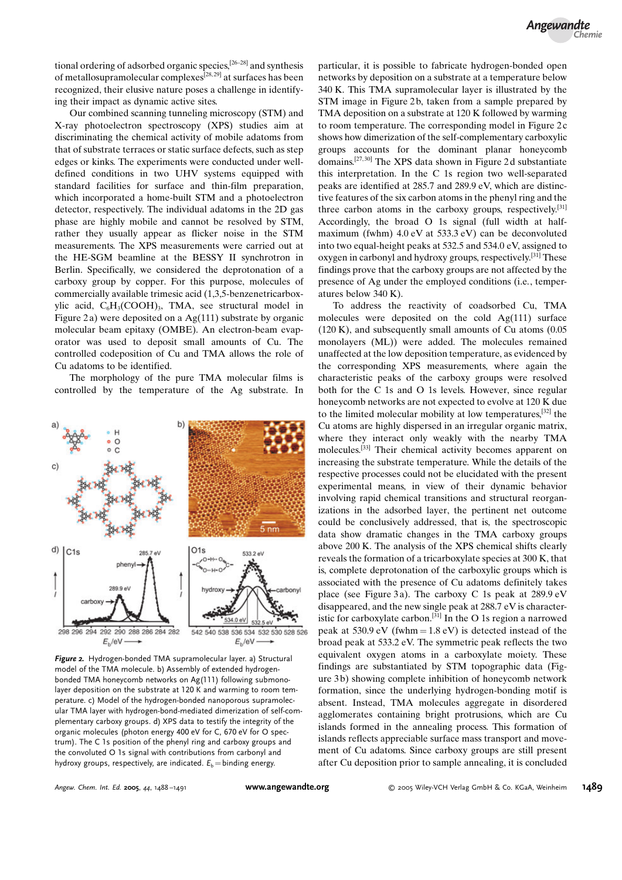tional ordering of adsorbed organic species,[26–28] and synthesis of metallosupramolecular complexes[28, 29] at surfaces has been recognized, their elusive nature poses a challenge in identifying their impact as dynamic active sites.

Our combined scanning tunneling microscopy (STM) and X-ray photoelectron spectroscopy (XPS) studies aim at discriminating the chemical activity of mobile adatoms from that of substrate terraces or static surface defects, such as step edges or kinks. The experiments were conducted under welldefined conditions in two UHV systems equipped with standard facilities for surface and thin-film preparation, which incorporated a home-built STM and a photoelectron detector, respectively. The individual adatoms in the 2D gas phase are highly mobile and cannot be resolved by STM, rather they usually appear as flicker noise in the STM measurements. The XPS measurements were carried out at the HE-SGM beamline at the BESSY II synchrotron in Berlin. Specifically, we considered the deprotonation of a carboxy group by copper. For this purpose, molecules of commercially available trimesic acid (1,3,5-benzenetricarboxylic acid,  $C_6H_3(COOH)_3$ , TMA, see structural model in Figure 2a) were deposited on a  $Ag(111)$  substrate by organic molecular beam epitaxy (OMBE). An electron-beam evaporator was used to deposit small amounts of Cu. The controlled codeposition of Cu and TMA allows the role of Cu adatoms to be identified.

The morphology of the pure TMA molecular films is controlled by the temperature of the Ag substrate. In



Figure 2. Hydrogen-bonded TMA supramolecular layer. a) Structural model of the TMA molecule. b) Assembly of extended hydrogenbonded TMA honeycomb networks on Ag(111) following submonolayer deposition on the substrate at 120 K and warming to room temperature. c) Model of the hydrogen-bonded nanoporous supramolecular TMA layer with hydrogen-bond-mediated dimerization of self-complementary carboxy groups. d) XPS data to testify the integrity of the organic molecules (photon energy 400 eV for C, 670 eV for O spectrum). The C 1s position of the phenyl ring and carboxy groups and the convoluted O 1s signal with contributions from carbonyl and hydroxy groups, respectively, are indicated.  $E_b$  = binding energy.

particular, it is possible to fabricate hydrogen-bonded open networks by deposition on a substrate at a temperature below 340 K. This TMA supramolecular layer is illustrated by the STM image in Figure 2b, taken from a sample prepared by TMA deposition on a substrate at 120 K followed by warming to room temperature. The corresponding model in Figure 2 c shows how dimerization of the self-complementary carboxylic groups accounts for the dominant planar honeycomb domains.[27, 30] The XPS data shown in Figure 2 d substantiate this interpretation. In the C 1s region two well-separated peaks are identified at 285.7 and 289.9 eV, which are distinctive features of the six carbon atoms in the phenyl ring and the three carbon atoms in the carboxy groups, respectively.<sup>[31]</sup> Accordingly, the broad O 1s signal (full width at halfmaximum (fwhm) 4.0 eV at 533.3 eV) can be deconvoluted into two equal-height peaks at 532.5 and 534.0 eV, assigned to oxygen in carbonyl and hydroxy groups, respectively.<sup>[31]</sup> These findings prove that the carboxy groups are not affected by the presence of Ag under the employed conditions (i.e., temperatures below 340 K).

To address the reactivity of coadsorbed Cu, TMA molecules were deposited on the cold Ag(111) surface (120 K), and subsequently small amounts of Cu atoms (0.05 monolayers (ML)) were added. The molecules remained unaffected at the low deposition temperature, as evidenced by the corresponding XPS measurements, where again the characteristic peaks of the carboxy groups were resolved both for the C 1s and O 1s levels. However, since regular honeycomb networks are not expected to evolve at 120 K due to the limited molecular mobility at low temperatures,[32] the Cu atoms are highly dispersed in an irregular organic matrix, where they interact only weakly with the nearby TMA molecules.[33] Their chemical activity becomes apparent on increasing the substrate temperature. While the details of the respective processes could not be elucidated with the present experimental means, in view of their dynamic behavior involving rapid chemical transitions and structural reorganizations in the adsorbed layer, the pertinent net outcome could be conclusively addressed, that is, the spectroscopic data show dramatic changes in the TMA carboxy groups above 200 K. The analysis of the XPS chemical shifts clearly reveals the formation of a tricarboxylate species at 300 K, that is, complete deprotonation of the carboxylic groups which is associated with the presence of Cu adatoms definitely takes place (see Figure 3 a). The carboxy C 1s peak at 289.9 eV disappeared, and the new single peak at 288.7 eV is characteristic for carboxylate carbon.[31] In the O 1s region a narrowed peak at 530.9 eV (fwhm =  $1.8$  eV) is detected instead of the broad peak at 533.2 eV. The symmetric peak reflects the two equivalent oxygen atoms in a carboxylate moiety. These findings are substantiated by STM topographic data (Figure 3 b) showing complete inhibition of honeycomb network formation, since the underlying hydrogen-bonding motif is absent. Instead, TMA molecules aggregate in disordered agglomerates containing bright protrusions, which are Cu islands formed in the annealing process. This formation of islands reflects appreciable surface mass transport and movement of Cu adatoms. Since carboxy groups are still present after Cu deposition prior to sample annealing, it is concluded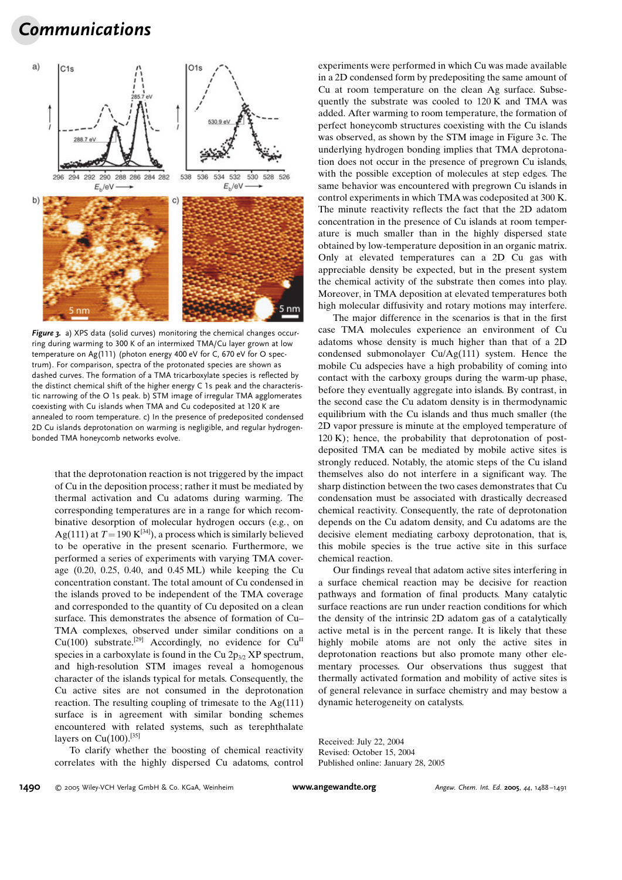## Communications



Figure 3. a) XPS data (solid curves) monitoring the chemical changes occurring during warming to 300 K of an intermixed TMA/Cu layer grown at low temperature on Ag(111) (photon energy 400 eV for C, 670 eV for O spectrum). For comparison, spectra of the protonated species are shown as dashed curves. The formation of a TMA tricarboxylate species is reflected by the distinct chemical shift of the higher energy C 1s peak and the characteristic narrowing of the O 1s peak. b) STM image of irregular TMA agglomerates coexisting with Cu islands when TMA and Cu codeposited at 120 K are annealed to room temperature. c) In the presence of predeposited condensed 2D Cu islands deprotonation on warming is negligible, and regular hydrogenbonded TMA honeycomb networks evolve.

that the deprotonation reaction is not triggered by the impact of Cu in the deposition process; rather it must be mediated by thermal activation and Cu adatoms during warming. The corresponding temperatures are in a range for which recombinative desorption of molecular hydrogen occurs (e.g., on Ag(111) at  $T = 190 \text{ K}^{[34]}$ , a process which is similarly believed to be operative in the present scenario. Furthermore, we performed a series of experiments with varying TMA coverage (0.20, 0.25, 0.40, and 0.45 ML) while keeping the Cu concentration constant. The total amount of Cu condensed in the islands proved to be independent of the TMA coverage and corresponded to the quantity of Cu deposited on a clean surface. This demonstrates the absence of formation of Cu– TMA complexes, observed under similar conditions on a Cu(100) substrate.<sup>[29]</sup> Accordingly, no evidence for Cu<sup>II</sup> species in a carboxylate is found in the Cu  $2p_{3/2}$  XP spectrum, and high-resolution STM images reveal a homogenous character of the islands typical for metals. Consequently, the Cu active sites are not consumed in the deprotonation reaction. The resulting coupling of trimesate to the Ag(111) surface is in agreement with similar bonding schemes encountered with related systems, such as terephthalate layers on  $Cu(100).$ <sup>[35]</sup>

To clarify whether the boosting of chemical reactivity correlates with the highly dispersed Cu adatoms, control experiments were performed in which Cu was made available in a 2D condensed form by predepositing the same amount of Cu at room temperature on the clean Ag surface. Subsequently the substrate was cooled to 120 K and TMA was added. After warming to room temperature, the formation of perfect honeycomb structures coexisting with the Cu islands was observed, as shown by the STM image in Figure 3 c. The underlying hydrogen bonding implies that TMA deprotonation does not occur in the presence of pregrown Cu islands, with the possible exception of molecules at step edges. The same behavior was encountered with pregrown Cu islands in control experiments in which TMA was codeposited at 300 K. The minute reactivity reflects the fact that the 2D adatom concentration in the presence of Cu islands at room temperature is much smaller than in the highly dispersed state obtained by low-temperature deposition in an organic matrix. Only at elevated temperatures can a 2D Cu gas with appreciable density be expected, but in the present system the chemical activity of the substrate then comes into play. Moreover, in TMA deposition at elevated temperatures both high molecular diffusivity and rotary motions may interfere.

The major difference in the scenarios is that in the first case TMA molecules experience an environment of Cu adatoms whose density is much higher than that of a 2D condensed submonolayer Cu/Ag(111) system. Hence the mobile Cu adspecies have a high probability of coming into contact with the carboxy groups during the warm-up phase, before they eventually aggregate into islands. By contrast, in the second case the Cu adatom density is in thermodynamic equilibrium with the Cu islands and thus much smaller (the 2D vapor pressure is minute at the employed temperature of 120 K); hence, the probability that deprotonation of postdeposited TMA can be mediated by mobile active sites is strongly reduced. Notably, the atomic steps of the Cu island themselves also do not interfere in a significant way. The sharp distinction between the two cases demonstrates that Cu condensation must be associated with drastically decreased chemical reactivity. Consequently, the rate of deprotonation depends on the Cu adatom density, and Cu adatoms are the decisive element mediating carboxy deprotonation, that is, this mobile species is the true active site in this surface chemical reaction.

Our findings reveal that adatom active sites interfering in a surface chemical reaction may be decisive for reaction pathways and formation of final products. Many catalytic surface reactions are run under reaction conditions for which the density of the intrinsic 2D adatom gas of a catalytically active metal is in the percent range. It is likely that these highly mobile atoms are not only the active sites in deprotonation reactions but also promote many other elementary processes. Our observations thus suggest that thermally activated formation and mobility of active sites is of general relevance in surface chemistry and may bestow a dynamic heterogeneity on catalysts.

Received: July 22, 2004 Revised: October 15, 2004 Published online: January 28, 2005